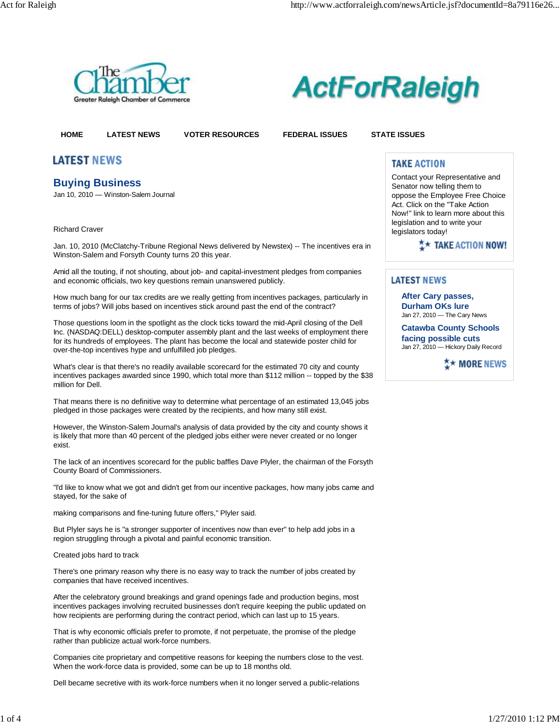



**HOME** LATEST NEWS VOTER RESOURCES FEDERAL ISSUES STATE ISSUES

# **LATEST NEWS**

### **Buying Business**

Jan 10, 2010 — Winston-Salem Journal

Richard Craver

Jan. 10, 2010 (McClatchy-Tribune Regional News delivered by Newstex) -- The incentives era in Winston-Salem and Forsyth County turns 20 this year.

Amid all the touting, if not shouting, about job- and capital-investment pledges from companies and economic officials, two key questions remain unanswered publicly.

How much bang for our tax credits are we really getting from incentives packages, particularly in terms of jobs? Will jobs based on incentives stick around past the end of the contract?

Those questions loom in the spotlight as the clock ticks toward the mid-April closing of the Dell Inc. (NASDAQ:DELL) desktop-computer assembly plant and the last weeks of employment there for its hundreds of employees. The plant has become the local and statewide poster child for over-the-top incentives hype and unfulfilled job pledges.

What's clear is that there's no readily available scorecard for the estimated 70 city and county incentives packages awarded since 1990, which total more than \$112 million -- topped by the \$38 million for Dell.

That means there is no definitive way to determine what percentage of an estimated 13,045 jobs pledged in those packages were created by the recipients, and how many still exist.

However, the Winston-Salem Journal's analysis of data provided by the city and county shows it is likely that more than 40 percent of the pledged jobs either were never created or no longer exist.

The lack of an incentives scorecard for the public baffles Dave Plyler, the chairman of the Forsyth County Board of Commissioners.

"I'd like to know what we got and didn't get from our incentive packages, how many jobs came and stayed, for the sake of

making comparisons and fine-tuning future offers," Plyler said.

But Plyler says he is "a stronger supporter of incentives now than ever" to help add jobs in a region struggling through a pivotal and painful economic transition.

Created jobs hard to track

There's one primary reason why there is no easy way to track the number of jobs created by companies that have received incentives.

After the celebratory ground breakings and grand openings fade and production begins, most incentives packages involving recruited businesses don't require keeping the public updated on how recipients are performing during the contract period, which can last up to 15 years.

That is why economic officials prefer to promote, if not perpetuate, the promise of the pledge rather than publicize actual work-force numbers.

Companies cite proprietary and competitive reasons for keeping the numbers close to the vest. When the work-force data is provided, some can be up to 18 months old.

Dell became secretive with its work-force numbers when it no longer served a public-relations

# **TAKE ACTION**

Contact your Representative and Senator now telling them to oppose the Employee Free Choice Act. Click on the "Take Action Now!" link to learn more about this legislation and to write your legislators today!

Σ \* TAKE ACTION NOW!

## **LATEST NEWS**

**After Cary passes, Durham OKs lure** Jan 27, 2010 — The Cary News

**Catawba County Schools facing possible cuts** Jan 27, 2010 — Hickory Daily Record

ጟ★ MORE NEWS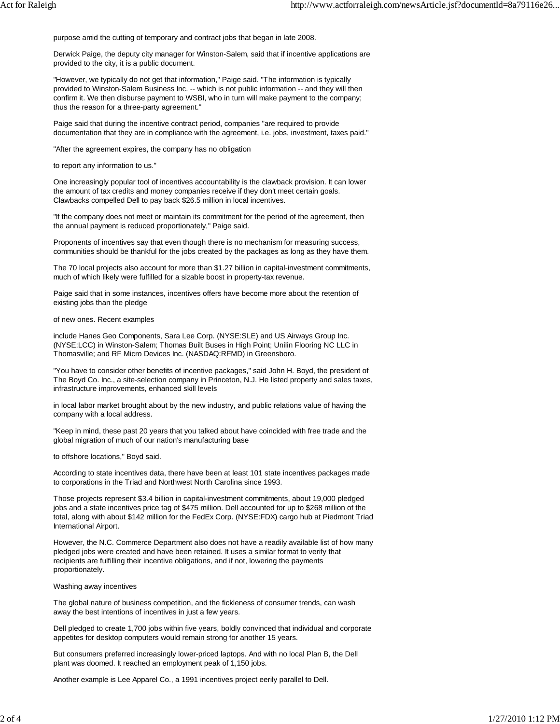purpose amid the cutting of temporary and contract jobs that began in late 2008.

Derwick Paige, the deputy city manager for Winston-Salem, said that if incentive applications are provided to the city, it is a public document.

"However, we typically do not get that information," Paige said. "The information is typically provided to Winston-Salem Business Inc. -- which is not public information -- and they will then confirm it. We then disburse payment to WSBI, who in turn will make payment to the company; thus the reason for a three-party agreement."

Paige said that during the incentive contract period, companies "are required to provide documentation that they are in compliance with the agreement, i.e. jobs, investment, taxes paid."

"After the agreement expires, the company has no obligation

to report any information to us."

One increasingly popular tool of incentives accountability is the clawback provision. It can lower the amount of tax credits and money companies receive if they don't meet certain goals. Clawbacks compelled Dell to pay back \$26.5 million in local incentives.

"If the company does not meet or maintain its commitment for the period of the agreement, then the annual payment is reduced proportionately," Paige said.

Proponents of incentives say that even though there is no mechanism for measuring success, communities should be thankful for the jobs created by the packages as long as they have them.

The 70 local projects also account for more than \$1.27 billion in capital-investment commitments, much of which likely were fulfilled for a sizable boost in property-tax revenue.

Paige said that in some instances, incentives offers have become more about the retention of existing jobs than the pledge

#### of new ones. Recent examples

include Hanes Geo Components, Sara Lee Corp. (NYSE:SLE) and US Airways Group Inc. (NYSE:LCC) in Winston-Salem; Thomas Built Buses in High Point; Unilin Flooring NC LLC in Thomasville; and RF Micro Devices Inc. (NASDAQ:RFMD) in Greensboro.

"You have to consider other benefits of incentive packages," said John H. Boyd, the president of The Boyd Co. Inc., a site-selection company in Princeton, N.J. He listed property and sales taxes, infrastructure improvements, enhanced skill levels

in local labor market brought about by the new industry, and public relations value of having the company with a local address.

"Keep in mind, these past 20 years that you talked about have coincided with free trade and the global migration of much of our nation's manufacturing base

to offshore locations," Boyd said.

According to state incentives data, there have been at least 101 state incentives packages made to corporations in the Triad and Northwest North Carolina since 1993.

Those projects represent \$3.4 billion in capital-investment commitments, about 19,000 pledged jobs and a state incentives price tag of \$475 million. Dell accounted for up to \$268 million of the total, along with about \$142 million for the FedEx Corp. (NYSE:FDX) cargo hub at Piedmont Triad International Airport.

However, the N.C. Commerce Department also does not have a readily available list of how many pledged jobs were created and have been retained. It uses a similar format to verify that recipients are fulfilling their incentive obligations, and if not, lowering the payments proportionately.

Washing away incentives

The global nature of business competition, and the fickleness of consumer trends, can wash away the best intentions of incentives in just a few years.

Dell pledged to create 1,700 jobs within five years, boldly convinced that individual and corporate appetites for desktop computers would remain strong for another 15 years.

But consumers preferred increasingly lower-priced laptops. And with no local Plan B, the Dell plant was doomed. It reached an employment peak of 1,150 jobs.

Another example is Lee Apparel Co., a 1991 incentives project eerily parallel to Dell.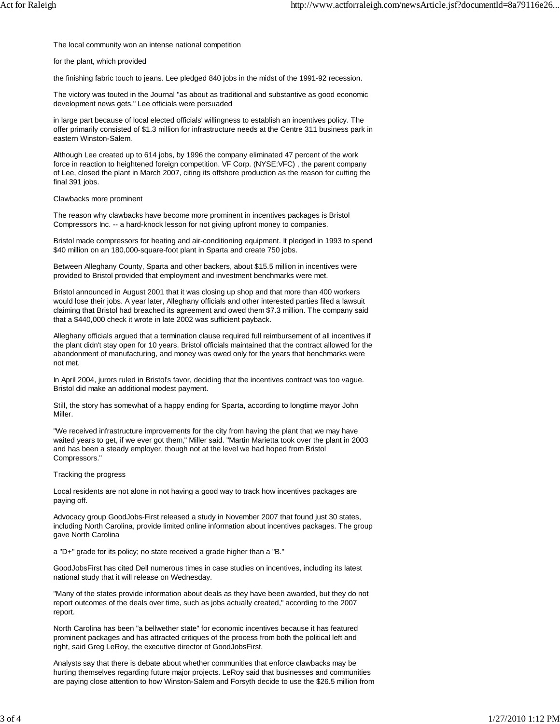The local community won an intense national competition

for the plant, which provided

the finishing fabric touch to jeans. Lee pledged 840 jobs in the midst of the 1991-92 recession.

The victory was touted in the Journal "as about as traditional and substantive as good economic development news gets." Lee officials were persuaded

in large part because of local elected officials' willingness to establish an incentives policy. The offer primarily consisted of \$1.3 million for infrastructure needs at the Centre 311 business park in eastern Winston-Salem.

Although Lee created up to 614 jobs, by 1996 the company eliminated 47 percent of the work force in reaction to heightened foreign competition. VF Corp. (NYSE:VFC) , the parent company of Lee, closed the plant in March 2007, citing its offshore production as the reason for cutting the final 391 jobs.

Clawbacks more prominent

The reason why clawbacks have become more prominent in incentives packages is Bristol Compressors Inc. -- a hard-knock lesson for not giving upfront money to companies.

Bristol made compressors for heating and air-conditioning equipment. It pledged in 1993 to spend \$40 million on an 180,000-square-foot plant in Sparta and create 750 jobs.

Between Alleghany County, Sparta and other backers, about \$15.5 million in incentives were provided to Bristol provided that employment and investment benchmarks were met.

Bristol announced in August 2001 that it was closing up shop and that more than 400 workers would lose their jobs. A year later, Alleghany officials and other interested parties filed a lawsuit claiming that Bristol had breached its agreement and owed them \$7.3 million. The company said that a \$440,000 check it wrote in late 2002 was sufficient payback.

Alleghany officials argued that a termination clause required full reimbursement of all incentives if the plant didn't stay open for 10 years. Bristol officials maintained that the contract allowed for the abandonment of manufacturing, and money was owed only for the years that benchmarks were not met.

In April 2004, jurors ruled in Bristol's favor, deciding that the incentives contract was too vague. Bristol did make an additional modest payment.

Still, the story has somewhat of a happy ending for Sparta, according to longtime mayor John Miller.

"We received infrastructure improvements for the city from having the plant that we may have waited years to get, if we ever got them," Miller said. "Martin Marietta took over the plant in 2003 and has been a steady employer, though not at the level we had hoped from Bristol Compressors."

Tracking the progress

Local residents are not alone in not having a good way to track how incentives packages are paying off.

Advocacy group GoodJobs-First released a study in November 2007 that found just 30 states, including North Carolina, provide limited online information about incentives packages. The group gave North Carolina

a "D+" grade for its policy; no state received a grade higher than a "B."

GoodJobsFirst has cited Dell numerous times in case studies on incentives, including its latest national study that it will release on Wednesday.

"Many of the states provide information about deals as they have been awarded, but they do not report outcomes of the deals over time, such as jobs actually created," according to the 2007 report.

North Carolina has been "a bellwether state" for economic incentives because it has featured prominent packages and has attracted critiques of the process from both the political left and right, said Greg LeRoy, the executive director of GoodJobsFirst.

Analysts say that there is debate about whether communities that enforce clawbacks may be hurting themselves regarding future major projects. LeRoy said that businesses and communities are paying close attention to how Winston-Salem and Forsyth decide to use the \$26.5 million from